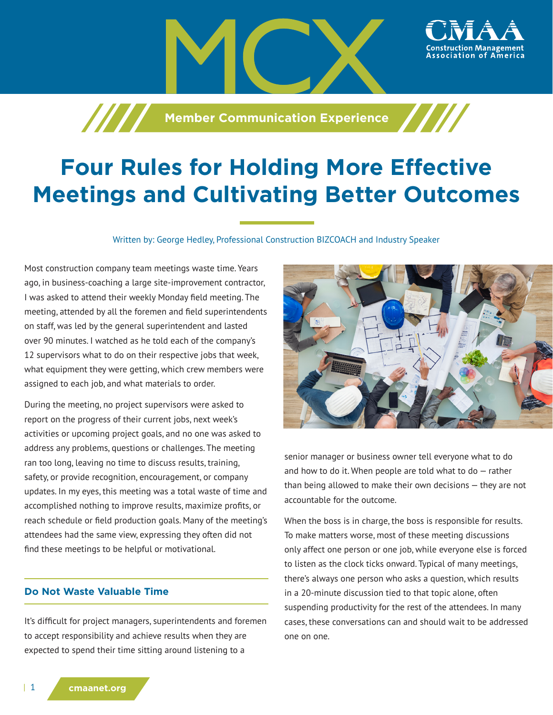**Member Communication Experience** 

# **Four Rules for Holding More Effective Meetings and Cultivating Better Outcomes**

Written by: George Hedley, Professional Construction BIZCOACH and Industry Speaker

Most construction company team meetings waste time. Years ago, in business-coaching a large site-improvement contractor, I was asked to attend their weekly Monday field meeting. The meeting, attended by all the foremen and field superintendents on staff, was led by the general superintendent and lasted over 90 minutes. I watched as he told each of the company's 12 supervisors what to do on their respective jobs that week, what equipment they were getting, which crew members were assigned to each job, and what materials to order.

During the meeting, no project supervisors were asked to report on the progress of their current jobs, next week's activities or upcoming project goals, and no one was asked to address any problems, questions or challenges. The meeting ran too long, leaving no time to discuss results, training, safety, or provide recognition, encouragement, or company updates. In my eyes, this meeting was a total waste of time and accomplished nothing to improve results, maximize profits, or reach schedule or field production goals. Many of the meeting's attendees had the same view, expressing they often did not find these meetings to be helpful or motivational.

# **Do Not Waste Valuable Time**

It's difficult for project managers, superintendents and foremen to accept responsibility and achieve results when they are expected to spend their time sitting around listening to a



ssociation of America

senior manager or business owner tell everyone what to do and how to do it. When people are told what to do  $-$  rather than being allowed to make their own decisions — they are not accountable for the outcome.

When the boss is in charge, the boss is responsible for results. To make matters worse, most of these meeting discussions only affect one person or one job, while everyone else is forced to listen as the clock ticks onward. Typical of many meetings, there's always one person who asks a question, which results in a 20-minute discussion tied to that topic alone, often suspending productivity for the rest of the attendees. In many cases, these conversations can and should wait to be addressed one on one.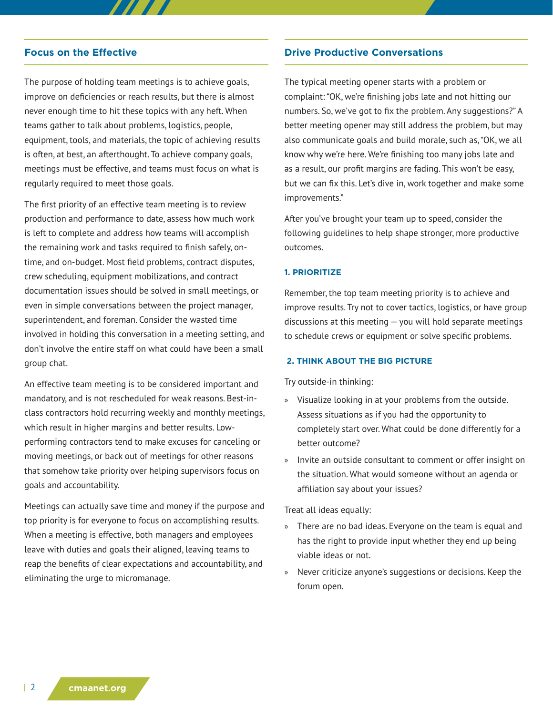#### **Focus on the Effective**

The purpose of holding team meetings is to achieve goals, improve on deficiencies or reach results, but there is almost never enough time to hit these topics with any heft. When teams gather to talk about problems, logistics, people, equipment, tools, and materials, the topic of achieving results is often, at best, an afterthought. To achieve company goals, meetings must be effective, and teams must focus on what is regularly required to meet those goals.

The first priority of an effective team meeting is to review production and performance to date, assess how much work is left to complete and address how teams will accomplish the remaining work and tasks required to finish safely, ontime, and on-budget. Most field problems, contract disputes, crew scheduling, equipment mobilizations, and contract documentation issues should be solved in small meetings, or even in simple conversations between the project manager, superintendent, and foreman. Consider the wasted time involved in holding this conversation in a meeting setting, and don't involve the entire staff on what could have been a small group chat.

An effective team meeting is to be considered important and mandatory, and is not rescheduled for weak reasons. Best-inclass contractors hold recurring weekly and monthly meetings, which result in higher margins and better results. Lowperforming contractors tend to make excuses for canceling or moving meetings, or back out of meetings for other reasons that somehow take priority over helping supervisors focus on goals and accountability.

Meetings can actually save time and money if the purpose and top priority is for everyone to focus on accomplishing results. When a meeting is effective, both managers and employees leave with duties and goals their aligned, leaving teams to reap the benefits of clear expectations and accountability, and eliminating the urge to micromanage.

## **Drive Productive Conversations**

The typical meeting opener starts with a problem or complaint: "OK, we're finishing jobs late and not hitting our numbers. So, we've got to fix the problem. Any suggestions?" A better meeting opener may still address the problem, but may also communicate goals and build morale, such as, "OK, we all know why we're here. We're finishing too many jobs late and as a result, our profit margins are fading. This won't be easy, but we can fix this. Let's dive in, work together and make some improvements."

After you've brought your team up to speed, consider the following guidelines to help shape stronger, more productive outcomes.

#### **1. PRIORITIZE**

Remember, the top team meeting priority is to achieve and improve results. Try not to cover tactics, logistics, or have group discussions at this meeting  $-$  you will hold separate meetings to schedule crews or equipment or solve specific problems.

## **2. THINK ABOUT THE BIG PICTURE**

Try outside-in thinking:

- » Visualize looking in at your problems from the outside. Assess situations as if you had the opportunity to completely start over. What could be done differently for a better outcome?
- » Invite an outside consultant to comment or offer insight on the situation. What would someone without an agenda or affiliation say about your issues?

Treat all ideas equally:

- » There are no bad ideas. Everyone on the team is equal and has the right to provide input whether they end up being viable ideas or not.
- » Never criticize anyone's suggestions or decisions. Keep the forum open.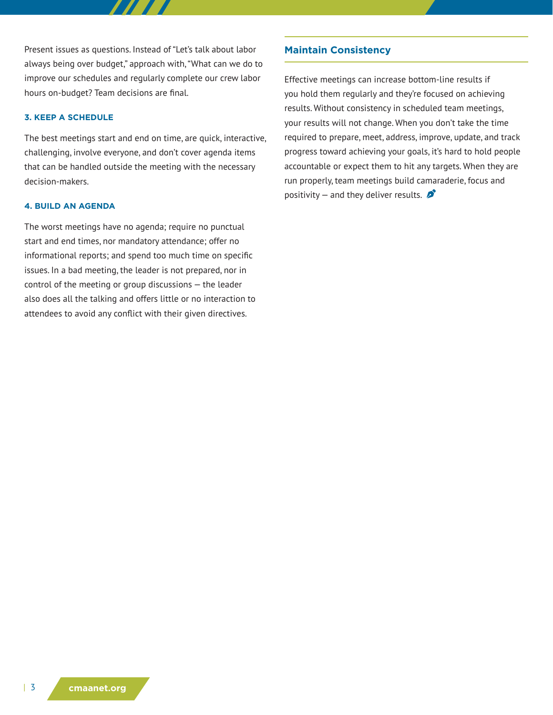Present issues as questions. Instead of "Let's talk about labor always being over budget," approach with, "What can we do to improve our schedules and regularly complete our crew labor hours on-budget? Team decisions are final.

#### **3. KEEP A SCHEDULE**

The best meetings start and end on time, are quick, interactive, challenging, involve everyone, and don't cover agenda items that can be handled outside the meeting with the necessary decision-makers.

#### **4. BUILD AN AGENDA**

The worst meetings have no agenda; require no punctual start and end times, nor mandatory attendance; offer no informational reports; and spend too much time on specific issues. In a bad meeting, the leader is not prepared, nor in control of the meeting or group discussions — the leader also does all the talking and offers little or no interaction to attendees to avoid any conflict with their given directives.

## **Maintain Consistency**

Effective meetings can increase bottom-line results if you hold them regularly and they're focused on achieving results. Without consistency in scheduled team meetings, your results will not change. When you don't take the time required to prepare, meet, address, improve, update, and track progress toward achieving your goals, it's hard to hold people accountable or expect them to hit any targets. When they are run properly, team meetings build camaraderie, focus and positivity – and they deliver results.  $\mathcal{L}$